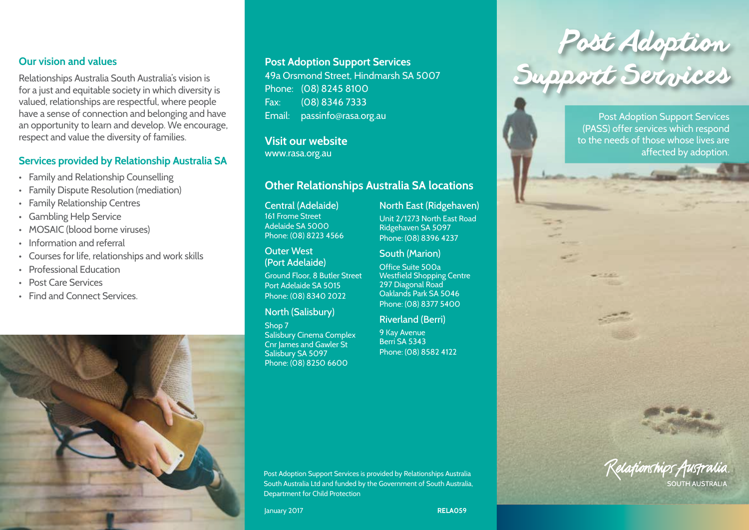### **Our vision and values**

Relationships Australia South Australia's vision is for a just and equitable society in which diversity is valued, relationships are respectful, where people have a sense of connection and belonging and have an opportunity to learn and develop. We encourage, respect and value the diversity of families.

#### **Services provided by Relationship Australia SA**

- Family and Relationship Counselling
- Family Dispute Resolution (mediation)
- Family Relationship Centres
- Gambling Help Service
- MOSAIC (blood borne viruses)
- Information and referral
- Courses for life, relationships and work skills
- Professional Education
- Post Care Services
- Find and Connect Services.



### **Post Adoption Support Services**

49a Orsmond Street, Hindmarsh SA 5007 Phone: (08) 8245 8100 Fax: (08) 8346 7333 Email: passinfo@rasa.org.au

# **Visit our website**

www.rasa.org.au

# **Other Relationships Australia SA locations**

Central (Adelaide) 161 Frome Street Adelaide SA 5000 Phone: (08) 8223 4566

Outer West (Port Adelaide)

Ground Floor, 8 Butler Street Port Adelaide SA 5015 Phone: (08) 8340 2022

### North (Salisbury)

Shop 7 Salisbury Cinema Complex Cnr James and Gawler St Salisbury SA 5097 Phone: (08) 8250 6600

North East (Ridgehaven) Unit 2/1273 North East Road Ridgehaven SA 5097 Phone: (08) 8396 4237

South (Marion) Office Suite 500a Westfield Shopping Centre 297 Diagonal Road Oaklands Park SA 5046 Phone: (08) 8377 5400

#### Riverland (Berri)

9 Kay Avenue Berri SA 5343 Phone: (08) 8582 4122

Post Adoption Support Services

 $\frac{1}{2} \frac{1}{2} \frac{1}{2} \frac{1}{2} \frac{1}{2} \frac{1}{2} \frac{1}{2} \frac{1}{2} \frac{1}{2} \frac{1}{2} \frac{1}{2} \frac{1}{2} \frac{1}{2} \frac{1}{2} \frac{1}{2} \frac{1}{2} \frac{1}{2} \frac{1}{2} \frac{1}{2} \frac{1}{2} \frac{1}{2} \frac{1}{2} \frac{1}{2} \frac{1}{2} \frac{1}{2} \frac{1}{2} \frac{1}{2} \frac{1}{2} \frac{1}{2} \frac{1}{2} \frac{1}{2} \frac{$ 

Post Adoption Support Services (PASS) offer services which respond to the needs of those whose lives are affected by adoption.

# Kelafumships Australia SOUTH AUSTRALIA

Post Adoption Support Services is provided by Relationships Australia South Australia Ltd and funded by the Government of South Australia, Department for Child Protection

January 2017